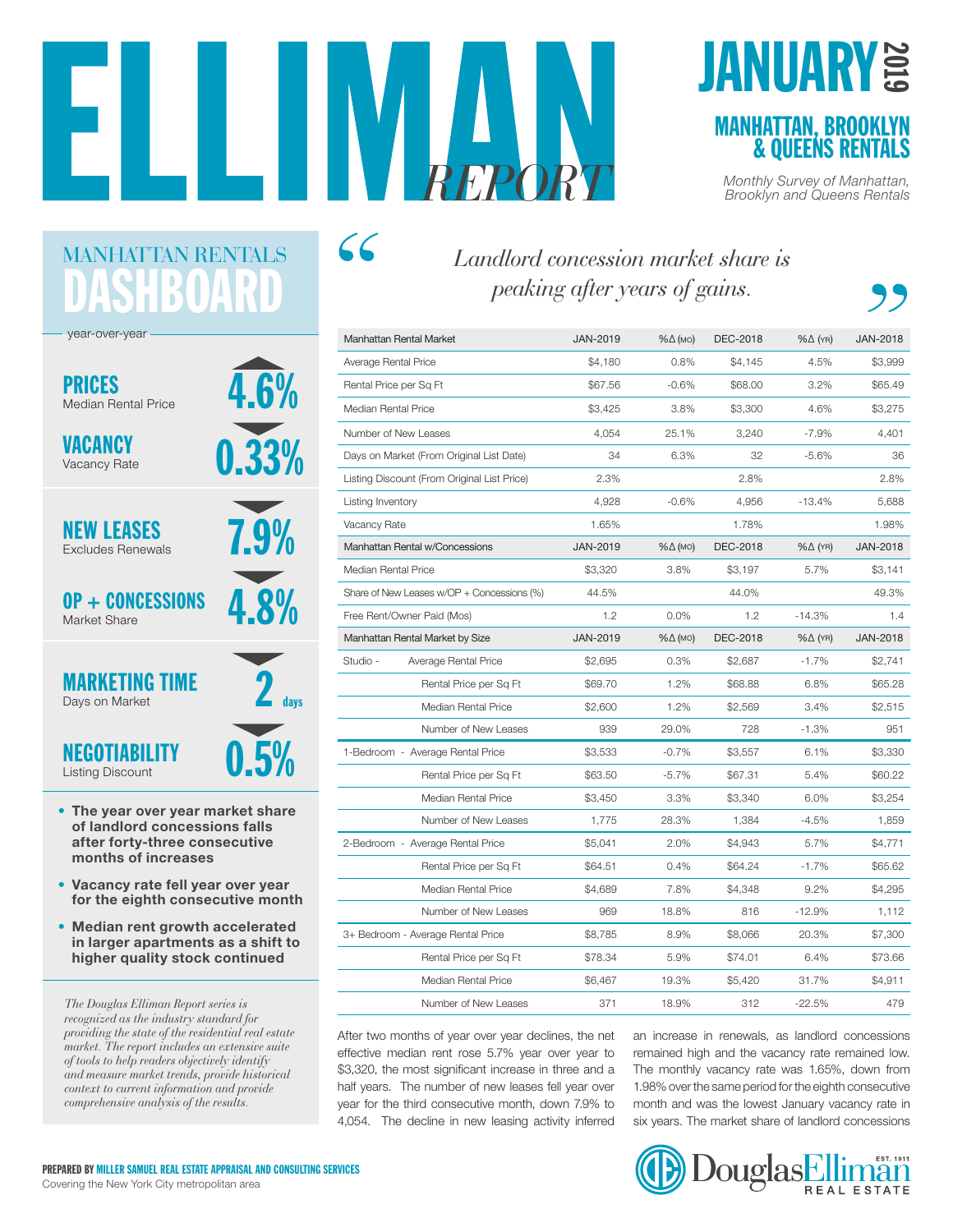# *REPORT Monthly Survey of Manhattan, Brooklyn and Queens Rentals*

 $\mathcal{L}\mathcal{L}$ 

## **JANUARY**

ASHBOAR year-over-year 4.6% 7.9% 0.33% 4.8% 0.5%  $2$  days PRICES Median Rental Price NEW LEASES Excludes Renewals MARKETING TIME Days on Market OP + CONCESSIONS Market Share NEGOTIABILITY Listing Discount VACANCY Vacancy Rate

MANHATTAN RENTALS

- The year over year market share of landlord concessions falls after forty-three consecutive months of increases
- Vacancy rate fell year over year for the eighth consecutive month
- Median rent growth accelerated in larger apartments as a shift to higher quality stock continued

*The Douglas Elliman Report series is recognized as the industry standard for providing the state of the residential real estate market. The report includes an extensive suite of tools to help readers objectively identify and measure market trends, provide historical context to current information and provide comprehensive analysis of the results.*

*Landlord concession market share is peaking after years of gains.*

| <b>Manhattan Rental Market</b>    |                                             | JAN-2019        | $% \triangle (MO)$ | DEC-2018 | $% \triangle (YR)$ | <b>JAN-2018</b> |
|-----------------------------------|---------------------------------------------|-----------------|--------------------|----------|--------------------|-----------------|
| Average Rental Price              |                                             | \$4,180         | 0.8%               | \$4,145  | 4.5%               | \$3,999         |
| Rental Price per Sq Ft            |                                             | \$67.56         | $-0.6%$            | \$68.00  | 3.2%               | \$65.49         |
| Median Rental Price               |                                             | \$3,425         | 3.8%               | \$3,300  | 4.6%               | \$3,275         |
| Number of New Leases              |                                             | 4,054           | 25.1%              | 3,240    | $-7.9%$            | 4,401           |
|                                   | Days on Market (From Original List Date)    | 34              | 6.3%               | 32       | $-5.6%$            | 36              |
|                                   | Listing Discount (From Original List Price) | 2.3%            |                    | 2.8%     |                    | 2.8%            |
| Listing Inventory                 |                                             | 4,928           | $-0.6%$            | 4,956    | $-13.4%$           | 5,688           |
| Vacancy Rate                      |                                             | 1.65%           |                    | 1.78%    |                    | 1.98%           |
|                                   | Manhattan Rental w/Concessions              | <b>JAN-2019</b> | %∆ (мо)            | DEC-2018 | $% \triangle (YR)$ | <b>JAN-2018</b> |
| Median Rental Price               |                                             | \$3,320         | 3.8%               | \$3.197  | 5.7%               | \$3.141         |
|                                   | Share of New Leases w/OP + Concessions (%)  | 44.5%           |                    | 44.0%    |                    | 49.3%           |
| Free Rent/Owner Paid (Mos)        |                                             | 1.2             | 0.0%               | 1.2      | $-14.3%$           | 1.4             |
| Manhattan Rental Market by Size   |                                             | JAN-2019        | %∆ (мо)            | DEC-2018 | $% \triangle (YR)$ | <b>JAN-2018</b> |
| Studio -                          | Average Rental Price                        | \$2,695         | 0.3%               | \$2,687  | $-1.7%$            | \$2,741         |
|                                   | Rental Price per Sq Ft                      | \$69.70         | 1.2%               | \$68.88  | 6.8%               | \$65.28         |
|                                   | Median Rental Price                         | \$2,600         | 1.2%               | \$2,569  | 3.4%               | \$2,515         |
|                                   | Number of New Leases                        | 939             | 29.0%              | 728      | $-1.3%$            | 951             |
|                                   | 1-Bedroom - Average Rental Price            | \$3,533         | $-0.7%$            | \$3,557  | 6.1%               | \$3,330         |
|                                   | Rental Price per Sq Ft                      | \$63.50         | $-5.7\%$           | \$67.31  | 5.4%               | \$60.22         |
|                                   | Median Rental Price                         | \$3,450         | 3.3%               | \$3,340  | 6.0%               | \$3,254         |
|                                   | Number of New Leases                        | 1,775           | 28.3%              | 1.384    | $-4.5%$            | 1,859           |
|                                   | 2-Bedroom - Average Rental Price            | \$5,041         | 2.0%               | \$4,943  | 5.7%               | \$4,771         |
|                                   | Rental Price per Sq Ft                      | \$64.51         | 0.4%               | \$64.24  | $-1.7%$            | \$65.62         |
|                                   | Median Rental Price                         | \$4,689         | 7.8%               | \$4,348  | 9.2%               | \$4,295         |
|                                   | Number of New Leases                        | 969             | 18.8%              | 816      | $-12.9%$           | 1,112           |
| 3+ Bedroom - Average Rental Price |                                             | \$8,785         | 8.9%               | \$8,066  | 20.3%              | \$7,300         |
|                                   | Rental Price per Sq Ft                      | \$78.34         | 5.9%               | \$74.01  | 6.4%               | \$73.66         |
|                                   | Median Rental Price                         | \$6,467         | 19.3%              | \$5,420  | 31.7%              | \$4,911         |
|                                   | Number of New Leases                        | 371             | 18.9%              | 312      | $-22.5%$           | 479             |

After two months of year over year declines, the net effective median rent rose 5.7% year over year to \$3,320, the most significant increase in three and a half years. The number of new leases fell year over year for the third consecutive month, down 7.9% to 4,054. The decline in new leasing activity inferred

an increase in renewals, as landlord concessions remained high and the vacancy rate remained low. The monthly vacancy rate was 1.65%, down from 1.98% over the same period for the eighth consecutive month and was the lowest January vacancy rate in six years. The market share of landlord concessions



## REAL ESTATE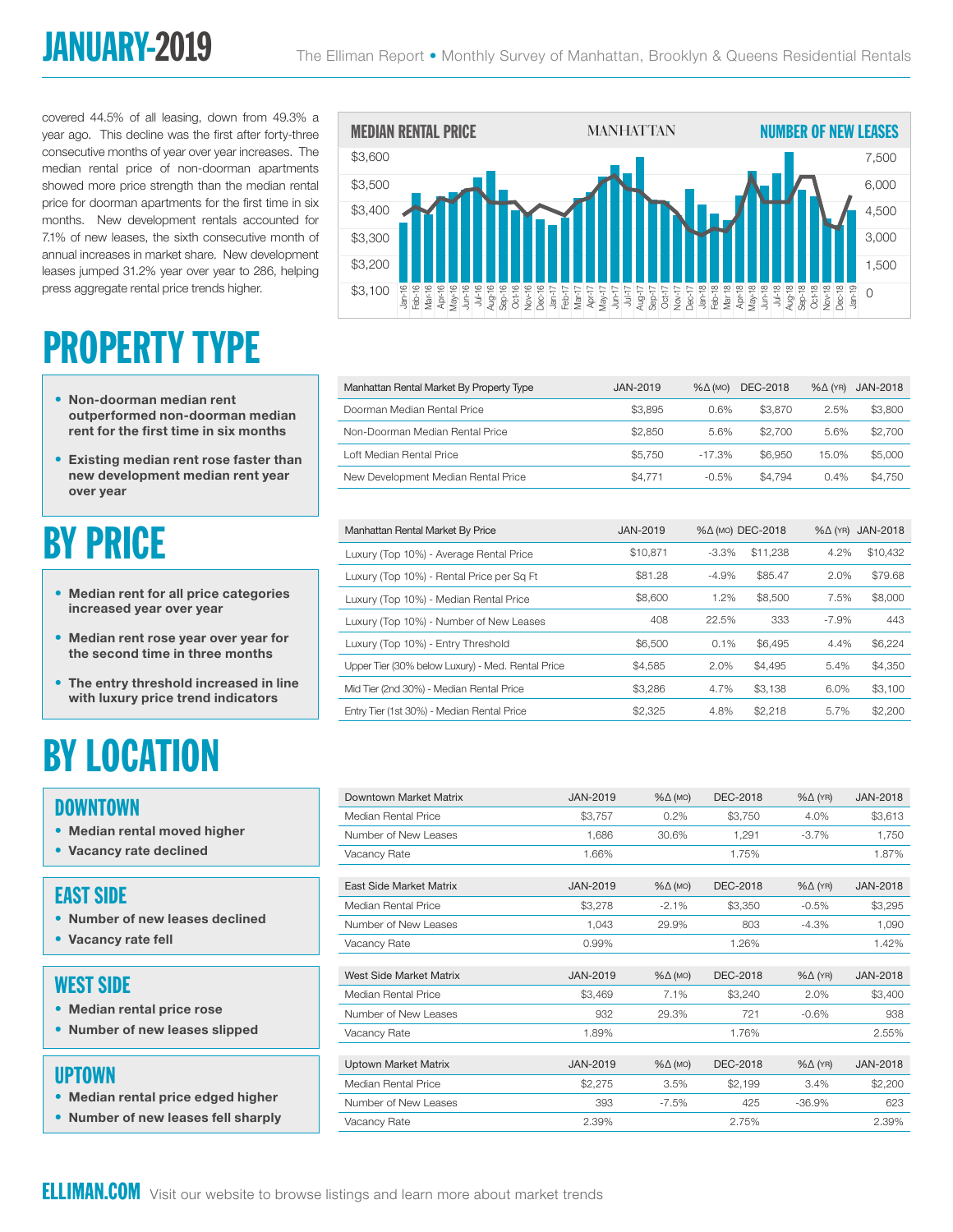## JANUARY-2019

covered 44.5% of all leasing, down from 49.3% a year ago. This decline was the first after forty-three consecutive months of year over year increases. The median rental price of non-doorman apartments showed more price strength than the median rental price for doorman apartments for the first time in six months. New development rentals accounted for 7.1% of new leases, the sixth consecutive month of annual increases in market share. New development leases jumped 31.2% year over year to 286, helping press aggregate rental price trends higher.

## PROPERTY TYPE

- Non-doorman median rent outperformed non-doorman median rent for the first time in six months
- Existing median rent rose faster than new development median rent year over year

## BY PRICE

- Median rent for all price categories increased year over year
- Median rent rose year over year for the second time in three months
- The entry threshold increased in line with luxury price trend indicators

## BY LOCATION

#### DOWNTOWN

- Median rental moved higher
- Vacancy rate declined

#### EAST SIDE

- Number of new leases declined
- Vacancy rate fell

#### WEST SIDE

- Median rental price rose
- Number of new leases slipped

#### UPTOWN

- Median rental price edged higher
- Number of new leases fell sharply



| Feb-16<br>Vlar-16<br>ים את היה מה היה להורים להורים להורים להורים להורים להורים להורים להורים להורים להורים להורים להורים להורים לה<br>או לא היה להורים להורים להורים להורים להורים להורים להורים להורים להורים להורים להורים להורים להורים להורים לה<br>$Jan-16$<br>\$3,100 |                 |                    |                 |                    | $Jan-19$<br>$\Omega$ |
|------------------------------------------------------------------------------------------------------------------------------------------------------------------------------------------------------------------------------------------------------------------------------|-----------------|--------------------|-----------------|--------------------|----------------------|
|                                                                                                                                                                                                                                                                              |                 |                    |                 |                    |                      |
|                                                                                                                                                                                                                                                                              |                 |                    |                 |                    |                      |
| Manhattan Rental Market By Property Type                                                                                                                                                                                                                                     | <b>JAN-2019</b> | $% \triangle (MO)$ | <b>DEC-2018</b> | $% \triangle (YR)$ | <b>JAN-2018</b>      |
| Doorman Median Rental Price                                                                                                                                                                                                                                                  | \$3.895         | 0.6%               | \$3,870         | 2.5%               | \$3,800              |
| Non-Doorman Median Rental Price                                                                                                                                                                                                                                              | \$2,850         | 5.6%               | \$2,700         | 5.6%               | \$2,700              |
| Loft Median Rental Price                                                                                                                                                                                                                                                     | \$5.750         | $-17.3%$           | \$6.950         | 15.0%              | \$5,000              |
| New Development Median Rental Price                                                                                                                                                                                                                                          | \$4,771         | $-0.5%$            | \$4.794         | 0.4%               | \$4.750              |

| Manhattan Rental Market By Price                  | <b>JAN-2019</b> | %∆ (мо) DEC-2018 |          | $% \triangle (YR)$ | JAN-2018 |
|---------------------------------------------------|-----------------|------------------|----------|--------------------|----------|
| Luxury (Top 10%) - Average Rental Price           | \$10.871        | $-3.3\%$         | \$11,238 | 4.2%               | \$10,432 |
| Luxury (Top 10%) - Rental Price per Sq Ft         | \$81.28         | $-4.9%$          | \$85.47  | 2.0%               | \$79.68  |
| Luxury (Top 10%) - Median Rental Price            | \$8,600         | 1.2%             | \$8,500  | 7.5%               | \$8,000  |
| Luxury (Top 10%) - Number of New Leases           | 408             | 22.5%            | 333      | $-7.9%$            | 443      |
| Luxury (Top 10%) - Entry Threshold                | \$6,500         | 0.1%             | \$6.495  | 4.4%               | \$6,224  |
| Upper Tier (30% below Luxury) - Med. Rental Price | \$4.585         | 2.0%             | \$4,495  | 5.4%               | \$4,350  |
| Mid Tier (2nd 30%) - Median Rental Price          | \$3.286         | 4.7%             | \$3.138  | 6.0%               | \$3.100  |
| Entry Tier (1st 30%) - Median Rental Price        | \$2.325         | 4.8%             | \$2,218  | 5.7%               | \$2,200  |
|                                                   |                 |                  |          |                    |          |

| Downtown Market Matrix      | JAN-2019        | $% \triangle (MO)$ | <b>DEC-2018</b> | $% \triangle (YR)$ | <b>JAN-2018</b> |
|-----------------------------|-----------------|--------------------|-----------------|--------------------|-----------------|
| Median Rental Price         | \$3,757         | 0.2%               | \$3,750         | 4.0%               | \$3,613         |
| Number of New Leases        | 1,686           | 30.6%              | 1,291           | $-3.7%$            | 1,750           |
| Vacancy Rate                | 1.66%           |                    | 1.75%           |                    | 1.87%           |
|                             |                 |                    |                 |                    |                 |
| East Side Market Matrix     | JAN-2019        | $% \triangle (MO)$ | <b>DEC-2018</b> | $% \triangle (YR)$ | <b>JAN-2018</b> |
| Median Rental Price         | \$3,278         | $-2.1%$            | \$3,350         | $-0.5%$            | \$3,295         |
| Number of New Leases        | 1,043           | 29.9%              | 803             | $-4.3%$            | 1,090           |
| Vacancy Rate                | 0.99%           |                    | 1.26%           |                    | 1.42%           |
|                             |                 |                    |                 |                    |                 |
| West Side Market Matrix     | <b>JAN-2019</b> | $% \triangle (MO)$ | <b>DEC-2018</b> | $% \triangle (YR)$ | <b>JAN-2018</b> |
| Median Rental Price         | \$3,469         | 7.1%               | \$3,240         | 2.0%               | \$3,400         |
| Number of New Leases        | 932             | 29.3%              | 721             | $-0.6%$            | 938             |
| Vacancy Rate                | 1.89%           |                    | 1.76%           |                    | 2.55%           |
|                             |                 |                    |                 |                    |                 |
| <b>Uptown Market Matrix</b> | <b>JAN-2019</b> | $% \triangle (MO)$ | <b>DEC-2018</b> | $% \triangle (YR)$ | <b>JAN-2018</b> |
| Median Rental Price         | \$2,275         | 3.5%               | \$2,199         | 3.4%               | \$2,200         |
| Number of New Leases        | 393             | $-7.5%$            | 425             | $-36.9%$           | 623             |
| Vacancy Rate                | 2.39%           |                    | 2.75%           |                    | 2.39%           |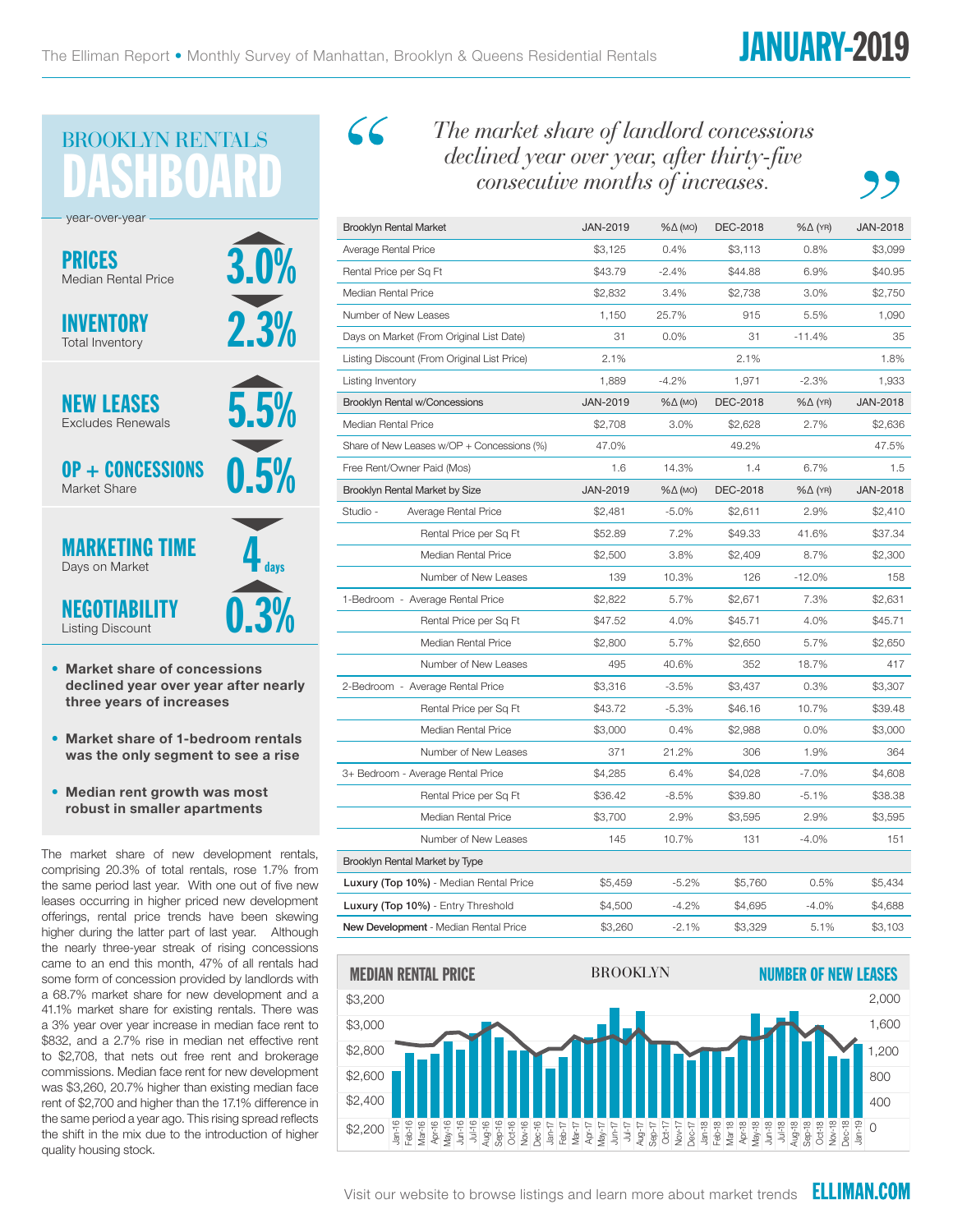## **73** BROOKLYN RENTALS

3.0% 5.5% 2.3% 0.5% 0.3%  $\frac{1}{4}$  days PRICES Median Rental Price NEW LEASES Excludes Renewals MARKETING TIME Days on Market INVENTORY Total Inventory OP + CONCESSIONS Market Share NEGOTIABILITY year-over-year

• Market share of concessions declined year over year after nearly three years of increases

Listing Discount

- Market share of 1-bedroom rentals was the only segment to see a rise
- Median rent growth was most robust in smaller apartments

The market share of new development rentals, comprising 20.3% of total rentals, rose 1.7% from the same period last year. With one out of five new leases occurring in higher priced new development offerings, rental price trends have been skewing higher during the latter part of last year. Although the nearly three-year streak of rising concessions came to an end this month, 47% of all rentals had some form of concession provided by landlords with a 68.7% market share for new development and a 41.1% market share for existing rentals. There was a 3% year over year increase in median face rent to \$832, and a 2.7% rise in median net effective rent to \$2,708, that nets out free rent and brokerage commissions. Median face rent for new development was \$3,260, 20.7% higher than existing median face rent of \$2,700 and higher than the 17.1% difference in the same period a year ago. This rising spread reflects the shift in the mix due to the introduction of higher quality housing stock.

 $\mathcal{L}\mathcal{L}$ 

*The market share of landlord concessions declined year over year, after thirty-five consecutive months of increases.*

| Brooklyn Rental Market                      | <b>JAN-2019</b> | %∆ (мо)            | DEC-2018                    | %∆ (YR)            | <b>JAN-2018</b> |  |
|---------------------------------------------|-----------------|--------------------|-----------------------------|--------------------|-----------------|--|
| Average Rental Price                        | \$3,125         | 0.4%               | \$3,113                     | 0.8%               | \$3,099         |  |
| Rental Price per Sq Ft                      | \$43.79         | $-2.4%$            | \$44.88                     | 6.9%               | \$40.95         |  |
| Median Rental Price                         | \$2,832         | 3.4%               | \$2,738                     | 3.0%               | \$2,750         |  |
| Number of New Leases                        | 1,150           | 25.7%              | 915                         | 5.5%               | 1,090           |  |
| Days on Market (From Original List Date)    | 31              | $0.0\%$            | 31                          | $-11.4%$           | 35              |  |
| Listing Discount (From Original List Price) | 2.1%            |                    | 2.1%                        |                    | 1.8%            |  |
| Listing Inventory                           | 1,889           | $-4.2%$            | 1,971                       | $-2.3%$            | 1,933           |  |
| <b>Brooklyn Rental w/Concessions</b>        | JAN-2019        | $% \triangle (MO)$ | DEC-2018                    | %∆ (YR)            | JAN-2018        |  |
| Median Rental Price                         | \$2,708         | 3.0%               | \$2,628                     | 2.7%               | \$2,636         |  |
| Share of New Leases w/OP + Concessions (%)  | 47.0%           |                    | 49.2%                       |                    | 47.5%           |  |
| Free Rent/Owner Paid (Mos)                  | 1.6             | 14.3%              | 1.4                         | 6.7%               | 1.5             |  |
| Brooklyn Rental Market by Size              | JAN-2019        | %∆ (мо)            | DEC-2018                    | $% \triangle (YR)$ | JAN-2018        |  |
| Studio -<br>Average Rental Price            | \$2,481         | $-5.0%$            | \$2,611                     | 2.9%               | \$2,410         |  |
| Rental Price per Sq Ft                      | \$52.89         | 7.2%               | \$49.33                     | 41.6%              | \$37.34         |  |
| <b>Median Rental Price</b>                  | \$2,500         | 3.8%               | \$2,409                     | 8.7%               | \$2,300         |  |
| Number of New Leases                        | 139             | 10.3%              | 126                         | $-12.0%$           | 158             |  |
| 1-Bedroom - Average Rental Price            | \$2,822         | 5.7%               | \$2,671                     | 7.3%               | \$2,631         |  |
| Rental Price per Sq Ft                      | \$47.52         | 4.0%               | \$45.71                     | 4.0%               | \$45.71         |  |
| Median Rental Price                         | \$2,800         | 5.7%               | \$2,650                     | 5.7%               | \$2,650         |  |
| Number of New Leases                        | 495             | 40.6%              | 352                         | 18.7%              | 417             |  |
| 2-Bedroom - Average Rental Price            | \$3,316         | $-3.5%$            | \$3,437                     | 0.3%               | \$3,307         |  |
| Rental Price per Sq Ft                      | \$43.72         | $-5.3%$            | \$46.16                     | 10.7%              | \$39.48         |  |
| Median Rental Price                         | \$3,000         | 0.4%               | \$2,988                     | $0.0\%$            | \$3,000         |  |
| Number of New Leases                        | 371             | 21.2%              | 306                         | 1.9%               | 364             |  |
| 3+ Bedroom - Average Rental Price           | \$4,285         | 6.4%               | \$4,028                     | $-7.0\%$           | \$4,608         |  |
| Rental Price per Sq Ft                      | \$36.42         | $-8.5%$            | \$39.80                     | $-5.1%$            | \$38.38         |  |
| Median Rental Price                         | \$3,700         | 2.9%               | \$3,595                     | 2.9%               | \$3,595         |  |
| Number of New Leases                        | 145             | 10.7%              | 131                         | $-4.0%$            | 151             |  |
| Brooklyn Rental Market by Type              |                 |                    |                             |                    |                 |  |
| Luxury (Top 10%) - Median Rental Price      | \$5,459         | $-5.2%$            | \$5,760                     | 0.5%               | \$5,434         |  |
| <b>Luxury (Top 10%)</b> - Entry Threshold   | \$4,500         | $-4.2%$            | \$4,695                     | $-4.0%$            | \$4,688         |  |
| New Development - Median Rental Price       | \$3,260         | $-2.1%$            | \$3,329                     | 5.1%               | \$3,103         |  |
| <b>MEDIAN RENTAL PRICE</b>                  | BROOKLYN        |                    | <b>NUMBER OF NEW LEASES</b> |                    |                 |  |



Visit our website to browse listings and learn more about market trends **ELLIMAN.COM**